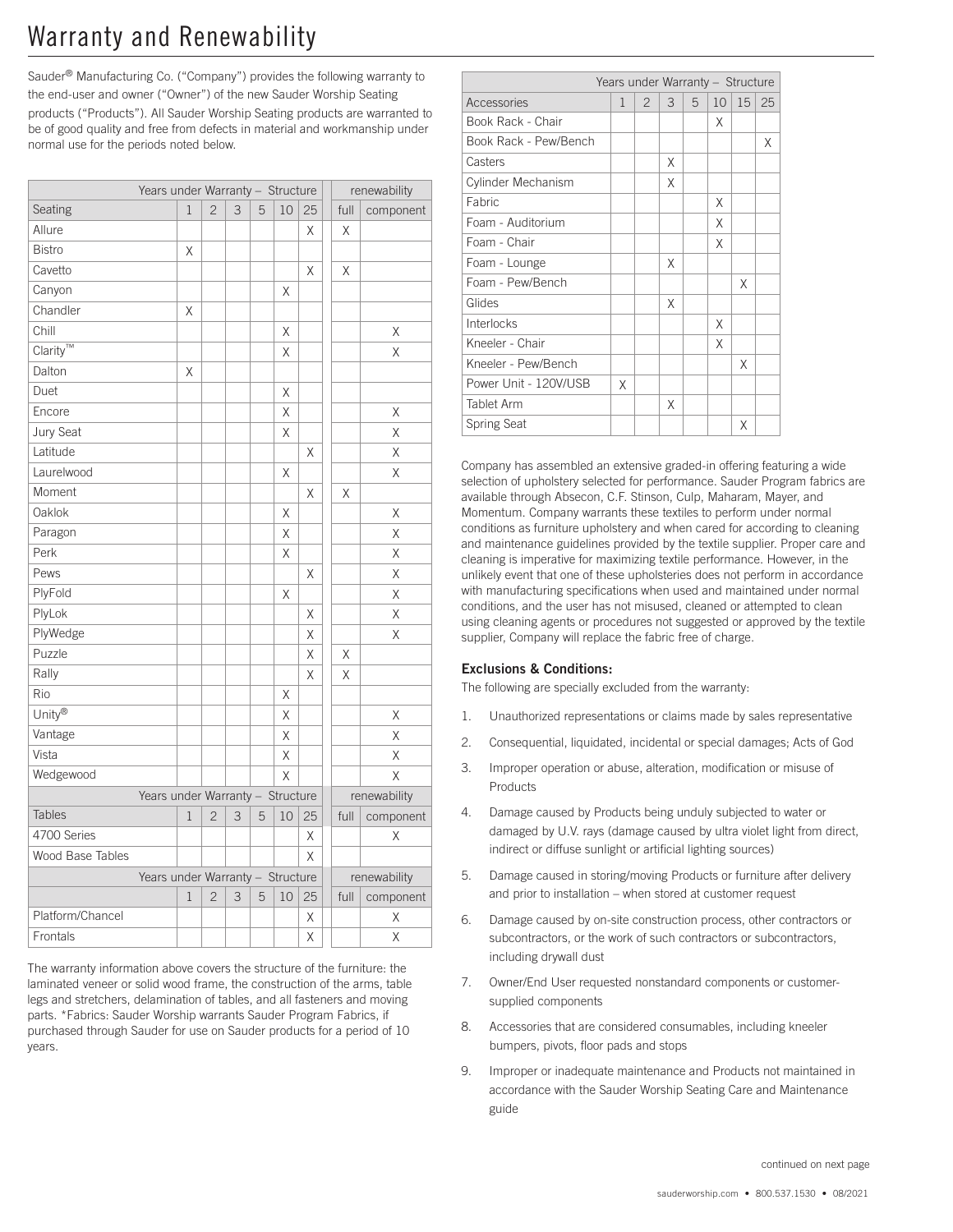# Warranty and Renewability

Sauder® Manufacturing Co. ("Company") provides the following warranty to the end-user and owner ("Owner") of the new Sauder Worship Seating products ("Products"). All Sauder Worship Seating products are warranted to be of good quality and free from defects in material and workmanship under normal use for the periods noted below.

|                                         | Years under Warranty - Structure |                |   |   |                         |    |      | renewability            |  |  |
|-----------------------------------------|----------------------------------|----------------|---|---|-------------------------|----|------|-------------------------|--|--|
| Seating                                 | 1                                | $\overline{c}$ | 3 | 5 | 10                      | 25 |      | full<br>component       |  |  |
| Allure                                  |                                  |                |   |   |                         | Χ  | X    |                         |  |  |
| <b>Bistro</b>                           | Χ                                |                |   |   |                         |    |      |                         |  |  |
| Cavetto                                 |                                  |                |   |   |                         | X  | Χ    |                         |  |  |
| Canyon                                  |                                  |                |   |   | Χ                       |    |      |                         |  |  |
| Chandler                                | Χ                                |                |   |   |                         |    |      |                         |  |  |
| Chill                                   |                                  |                |   |   | Χ                       |    |      | Χ                       |  |  |
| $\overline{\text{Clarity}^{\text{TM}}}$ |                                  |                |   |   | X                       |    |      | X                       |  |  |
| Dalton                                  | Χ                                |                |   |   |                         |    |      |                         |  |  |
| Duet                                    |                                  |                |   |   | X                       |    |      |                         |  |  |
| Encore                                  |                                  |                |   |   | X                       |    |      | X                       |  |  |
| Jury Seat                               |                                  |                |   |   | X                       |    |      | X                       |  |  |
| Latitude                                |                                  |                |   |   |                         | Χ  |      | Χ                       |  |  |
| Laurelwood                              |                                  |                |   |   | Χ                       |    |      | Χ                       |  |  |
| Moment                                  |                                  |                |   |   |                         | Χ  | Χ    |                         |  |  |
| Oaklok                                  |                                  |                |   |   | Χ                       |    |      | Χ                       |  |  |
| Paragon                                 |                                  |                |   |   | X                       |    |      | X                       |  |  |
| Perk                                    |                                  |                |   |   | Χ                       |    |      | Χ                       |  |  |
| Pews                                    |                                  |                |   |   |                         | Χ  |      | $\overline{\mathsf{X}}$ |  |  |
| PlyFold                                 |                                  |                |   |   | Χ                       |    |      | Χ                       |  |  |
| PlyLok                                  |                                  |                |   |   |                         | Χ  |      | Χ                       |  |  |
| PlyWedge                                |                                  |                |   |   |                         | X  |      | X                       |  |  |
| Puzzle                                  |                                  |                |   |   |                         | X  | X    |                         |  |  |
| Rally                                   |                                  |                |   |   |                         | X  | X    |                         |  |  |
| Rio                                     |                                  |                |   |   | Χ                       |    |      |                         |  |  |
| Unity®                                  |                                  |                |   |   | X                       |    |      | Χ                       |  |  |
| Vantage                                 |                                  |                |   |   | X                       |    |      | X                       |  |  |
| Vista                                   |                                  |                |   |   | Χ                       |    |      | Χ                       |  |  |
| Wedgewood                               |                                  |                |   |   | $\overline{\mathsf{X}}$ |    |      | $\overline{\mathsf{X}}$ |  |  |
| Years under Warranty - Structure        |                                  | renewability   |   |   |                         |    |      |                         |  |  |
| Tables                                  | $\mathbf{1}$                     | $\overline{c}$ | 3 | 5 | 10                      | 25 | full | component               |  |  |
| 4700 Series                             |                                  |                |   |   |                         | Χ  |      | Χ                       |  |  |
| Wood Base Tables                        |                                  |                |   |   |                         | X  |      |                         |  |  |
| Years under Warranty - Structure        |                                  |                |   |   |                         |    |      | renewability            |  |  |
|                                         | $\mathbf{1}$                     | $\overline{c}$ | 3 | 5 | 10                      | 25 | full | component               |  |  |
| Platform/Chancel                        |                                  |                |   |   |                         | Χ  |      | Χ                       |  |  |
| Frontals                                |                                  |                |   |   |                         | Χ  |      | $\overline{\mathsf{X}}$ |  |  |

The warranty information above covers the structure of the furniture: the laminated veneer or solid wood frame, the construction of the arms, table legs and stretchers, delamination of tables, and all fasteners and moving parts. \*Fabrics: Sauder Worship warrants Sauder Program Fabrics, if purchased through Sauder for use on Sauder products for a period of 10 years.

| Years under Warranty - Structure |               |   |   |                 |                 |    |  |  |  |  |  |  |
|----------------------------------|---------------|---|---|-----------------|-----------------|----|--|--|--|--|--|--|
| $\mathbf{1}$                     | $\mathcal{P}$ | 3 | 5 | 10 <sup>°</sup> | 15 <sup>5</sup> | 25 |  |  |  |  |  |  |
|                                  |               |   |   | X               |                 |    |  |  |  |  |  |  |
|                                  |               |   |   |                 |                 | X  |  |  |  |  |  |  |
|                                  |               | X |   |                 |                 |    |  |  |  |  |  |  |
|                                  |               | X |   |                 |                 |    |  |  |  |  |  |  |
|                                  |               |   |   | X               |                 |    |  |  |  |  |  |  |
|                                  |               |   |   | X               |                 |    |  |  |  |  |  |  |
|                                  |               |   |   | X               |                 |    |  |  |  |  |  |  |
|                                  |               | X |   |                 |                 |    |  |  |  |  |  |  |
|                                  |               |   |   |                 | X               |    |  |  |  |  |  |  |
|                                  |               | X |   |                 |                 |    |  |  |  |  |  |  |
|                                  |               |   |   | X               |                 |    |  |  |  |  |  |  |
|                                  |               |   |   | X               |                 |    |  |  |  |  |  |  |
|                                  |               |   |   |                 | X               |    |  |  |  |  |  |  |
| X                                |               |   |   |                 |                 |    |  |  |  |  |  |  |
|                                  |               | Χ |   |                 |                 |    |  |  |  |  |  |  |
|                                  |               |   |   |                 | X               |    |  |  |  |  |  |  |
|                                  |               |   |   |                 |                 |    |  |  |  |  |  |  |

Company has assembled an extensive graded-in offering featuring a wide selection of upholstery selected for performance. Sauder Program fabrics are available through Absecon, C.F. Stinson, Culp, Maharam, Mayer, and Momentum. Company warrants these textiles to perform under normal conditions as furniture upholstery and when cared for according to cleaning and maintenance guidelines provided by the textile supplier. Proper care and cleaning is imperative for maximizing textile performance. However, in the unlikely event that one of these upholsteries does not perform in accordance with manufacturing specifications when used and maintained under normal conditions, and the user has not misused, cleaned or attempted to clean using cleaning agents or procedures not suggested or approved by the textile supplier, Company will replace the fabric free of charge.

### Exclusions & Conditions:

The following are specially excluded from the warranty:

- 1. Unauthorized representations or claims made by sales representative
- 2. Consequential, liquidated, incidental or special damages; Acts of God
- 3. Improper operation or abuse, alteration, modification or misuse of Products
- 4. Damage caused by Products being unduly subjected to water or damaged by U.V. rays (damage caused by ultra violet light from direct, indirect or diffuse sunlight or artificial lighting sources)
- 5. Damage caused in storing/moving Products or furniture after delivery and prior to installation – when stored at customer request
- 6. Damage caused by on-site construction process, other contractors or subcontractors, or the work of such contractors or subcontractors, including drywall dust
- 7. Owner/End User requested nonstandard components or customersupplied components
- 8. Accessories that are considered consumables, including kneeler bumpers, pivots, floor pads and stops
- 9. Improper or inadequate maintenance and Products not maintained in accordance with the Sauder Worship Seating Care and Maintenance guide